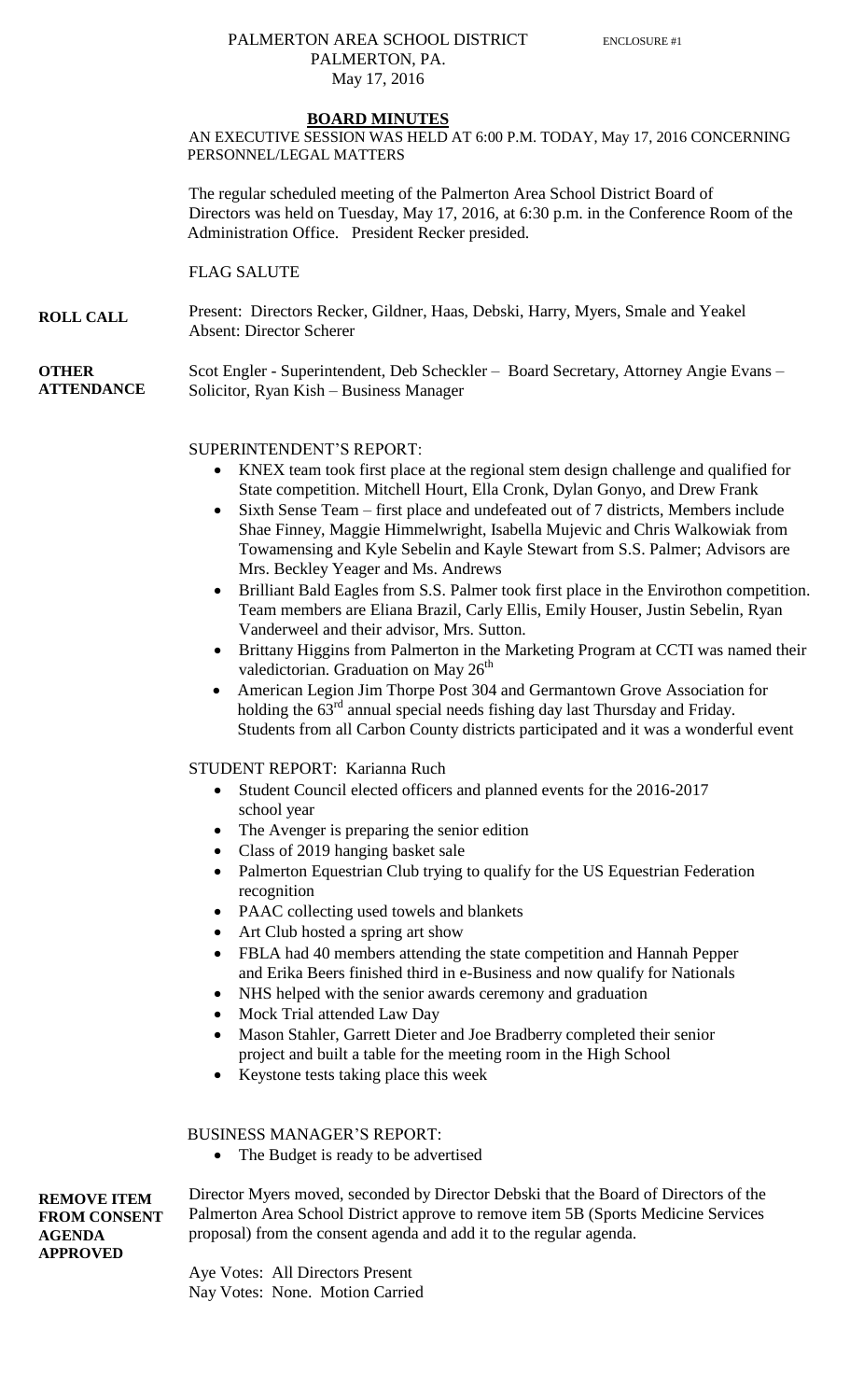### PALMERTON AREA SCHOOL DISTRICT ENCLOSURE #1 PALMERTON, PA. May 17, 2016

#### **BOARD MINUTES**

AN EXECUTIVE SESSION WAS HELD AT 6:00 P.M. TODAY, May 17, 2016 CONCERNING PERSONNEL/LEGAL MATTERS

The regular scheduled meeting of the Palmerton Area School District Board of Directors was held on Tuesday, May 17, 2016, at 6:30 p.m. in the Conference Room of the Administration Office. President Recker presided.

FLAG SALUTE

**ROLL CALL** Present: Directors Recker, Gildner, Haas, Debski, Harry, Myers, Smale and Yeakel Absent: Director Scherer

**OTHER ATTENDANCE** Scot Engler - Superintendent, Deb Scheckler – Board Secretary, Attorney Angie Evans – Solicitor, Ryan Kish – Business Manager

#### SUPERINTENDENT'S REPORT:

- KNEX team took first place at the regional stem design challenge and qualified for State competition. Mitchell Hourt, Ella Cronk, Dylan Gonyo, and Drew Frank
- Sixth Sense Team first place and undefeated out of 7 districts, Members include Shae Finney, Maggie Himmelwright, Isabella Mujevic and Chris Walkowiak from Towamensing and Kyle Sebelin and Kayle Stewart from S.S. Palmer; Advisors are Mrs. Beckley Yeager and Ms. Andrews
- Brilliant Bald Eagles from S.S. Palmer took first place in the Envirothon competition. Team members are Eliana Brazil, Carly Ellis, Emily Houser, Justin Sebelin, Ryan Vanderweel and their advisor, Mrs. Sutton.
- Brittany Higgins from Palmerton in the Marketing Program at CCTI was named their valedictorian. Graduation on May  $26<sup>th</sup>$
- American Legion Jim Thorpe Post 304 and Germantown Grove Association for holding the  $63<sup>rd</sup>$  annual special needs fishing day last Thursday and Friday. Students from all Carbon County districts participated and it was a wonderful event

#### STUDENT REPORT: Karianna Ruch

- Student Council elected officers and planned events for the 2016-2017 school year
- The Avenger is preparing the senior edition
- Class of 2019 hanging basket sale
- Palmerton Equestrian Club trying to qualify for the US Equestrian Federation recognition
- PAAC collecting used towels and blankets
- Art Club hosted a spring art show
- FBLA had 40 members attending the state competition and Hannah Pepper and Erika Beers finished third in e-Business and now qualify for Nationals
- NHS helped with the senior awards ceremony and graduation
- Mock Trial attended Law Day
- Mason Stahler, Garrett Dieter and Joe Bradberry completed their senior project and built a table for the meeting room in the High School
- Keystone tests taking place this week

BUSINESS MANAGER'S REPORT:

The Budget is ready to be advertised

**REMOVE ITEM FROM CONSENT AGENDA APPROVED**

Director Myers moved, seconded by Director Debski that the Board of Directors of the Palmerton Area School District approve to remove item 5B (Sports Medicine Services proposal) from the consent agenda and add it to the regular agenda.

Aye Votes: All Directors Present Nay Votes: None. Motion Carried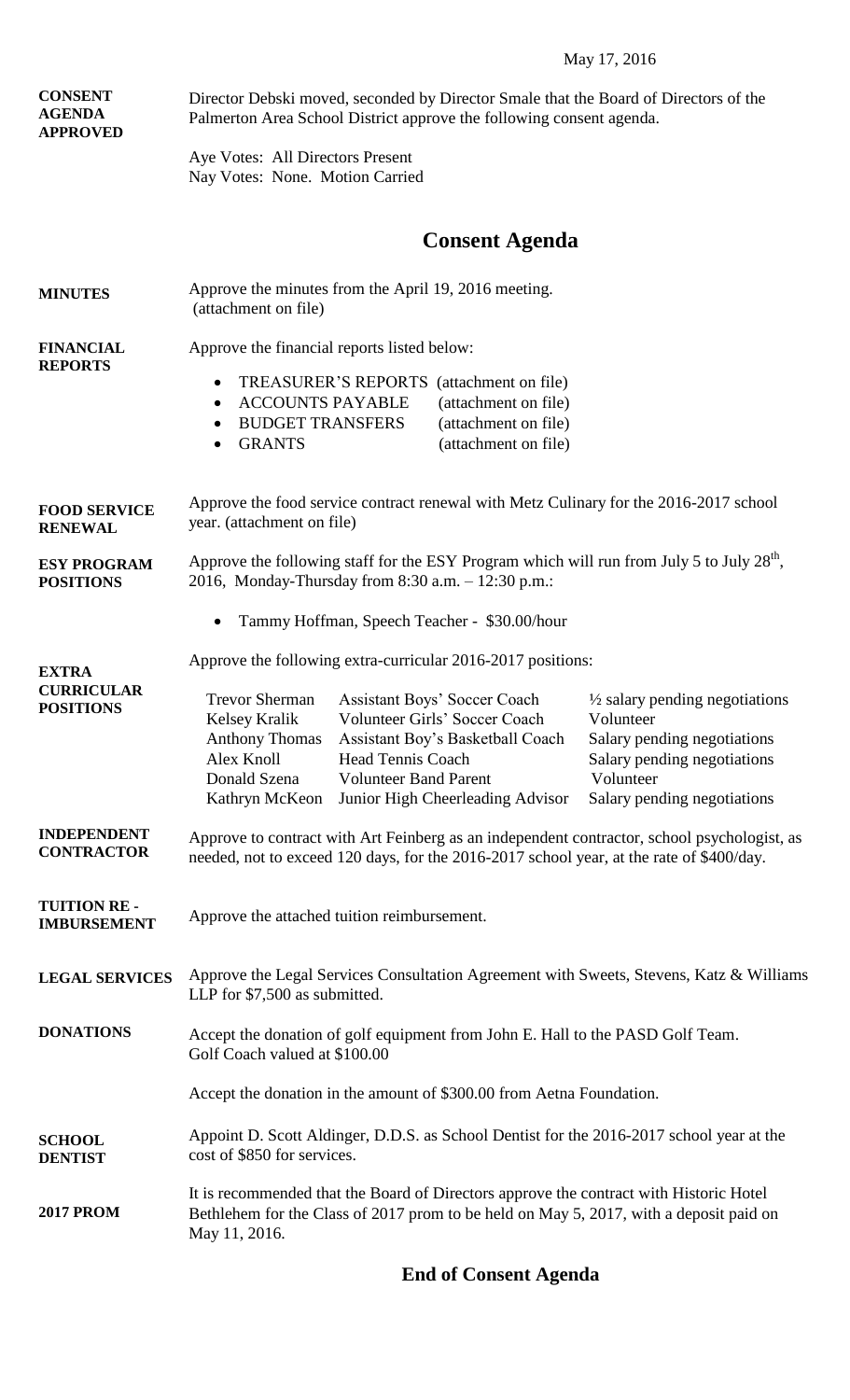## May 17, 2016

| <b>CONSENT</b><br><b>AGENDA</b><br><b>APPROVED</b>    | Director Debski moved, seconded by Director Smale that the Board of Directors of the<br>Palmerton Area School District approve the following consent agenda.                                        |                                                                                                                                                                              |                                                                                                                                                                  |  |
|-------------------------------------------------------|-----------------------------------------------------------------------------------------------------------------------------------------------------------------------------------------------------|------------------------------------------------------------------------------------------------------------------------------------------------------------------------------|------------------------------------------------------------------------------------------------------------------------------------------------------------------|--|
|                                                       | Aye Votes: All Directors Present<br>Nay Votes: None. Motion Carried                                                                                                                                 |                                                                                                                                                                              |                                                                                                                                                                  |  |
|                                                       |                                                                                                                                                                                                     | <b>Consent Agenda</b>                                                                                                                                                        |                                                                                                                                                                  |  |
| <b>MINUTES</b>                                        | Approve the minutes from the April 19, 2016 meeting.<br>(attachment on file)                                                                                                                        |                                                                                                                                                                              |                                                                                                                                                                  |  |
| <b>FINANCIAL</b><br><b>REPORTS</b>                    | Approve the financial reports listed below:<br>TREASURER'S REPORTS (attachment on file)<br>$\bullet$<br><b>ACCOUNTS PAYABLE</b><br>$\bullet$<br><b>BUDGET TRANSFERS</b><br><b>GRANTS</b><br>٠       | (attachment on file)<br>(attachment on file)<br>(attachment on file)                                                                                                         |                                                                                                                                                                  |  |
| <b>FOOD SERVICE</b><br><b>RENEWAL</b>                 | Approve the food service contract renewal with Metz Culinary for the 2016-2017 school<br>year. (attachment on file)                                                                                 |                                                                                                                                                                              |                                                                                                                                                                  |  |
| <b>ESY PROGRAM</b><br><b>POSITIONS</b>                | Approve the following staff for the ESY Program which will run from July 5 to July 28 <sup>th</sup> ,<br>2016, Monday-Thursday from 8:30 a.m. - 12:30 p.m.:                                         |                                                                                                                                                                              |                                                                                                                                                                  |  |
|                                                       | Tammy Hoffman, Speech Teacher - \$30.00/hour<br>$\bullet$                                                                                                                                           |                                                                                                                                                                              |                                                                                                                                                                  |  |
| <b>EXTRA</b><br><b>CURRICULAR</b><br><b>POSITIONS</b> | Approve the following extra-curricular 2016-2017 positions:<br>Trevor Sherman<br>Kelsey Kralik<br><b>Anthony Thomas</b><br>Alex Knoll<br><b>Head Tennis Coach</b><br>Donald Szena<br>Kathryn McKeon | <b>Assistant Boys' Soccer Coach</b><br>Volunteer Girls' Soccer Coach<br>Assistant Boy's Basketball Coach<br><b>Volunteer Band Parent</b><br>Junior High Cheerleading Advisor | $\frac{1}{2}$ salary pending negotiations<br>Volunteer<br>Salary pending negotiations<br>Salary pending negotiations<br>Volunteer<br>Salary pending negotiations |  |
| <b>INDEPENDENT</b><br><b>CONTRACTOR</b>               | Approve to contract with Art Feinberg as an independent contractor, school psychologist, as<br>needed, not to exceed 120 days, for the 2016-2017 school year, at the rate of \$400/day.             |                                                                                                                                                                              |                                                                                                                                                                  |  |
| <b>TUITION RE-</b><br><b>IMBURSEMENT</b>              | Approve the attached tuition reimbursement.                                                                                                                                                         |                                                                                                                                                                              |                                                                                                                                                                  |  |
| <b>LEGAL SERVICES</b>                                 | Approve the Legal Services Consultation Agreement with Sweets, Stevens, Katz & Williams<br>LLP for \$7,500 as submitted.                                                                            |                                                                                                                                                                              |                                                                                                                                                                  |  |
| <b>DONATIONS</b>                                      | Accept the donation of golf equipment from John E. Hall to the PASD Golf Team.<br>Golf Coach valued at \$100.00                                                                                     |                                                                                                                                                                              |                                                                                                                                                                  |  |
|                                                       | Accept the donation in the amount of \$300.00 from Aetna Foundation.                                                                                                                                |                                                                                                                                                                              |                                                                                                                                                                  |  |
| <b>SCHOOL</b><br><b>DENTIST</b>                       | Appoint D. Scott Aldinger, D.D.S. as School Dentist for the 2016-2017 school year at the<br>cost of \$850 for services.                                                                             |                                                                                                                                                                              |                                                                                                                                                                  |  |
| <b>2017 PROM</b>                                      | It is recommended that the Board of Directors approve the contract with Historic Hotel<br>Bethlehem for the Class of 2017 prom to be held on May 5, 2017, with a deposit paid on<br>May 11, 2016.   |                                                                                                                                                                              |                                                                                                                                                                  |  |

# **End of Consent Agenda**